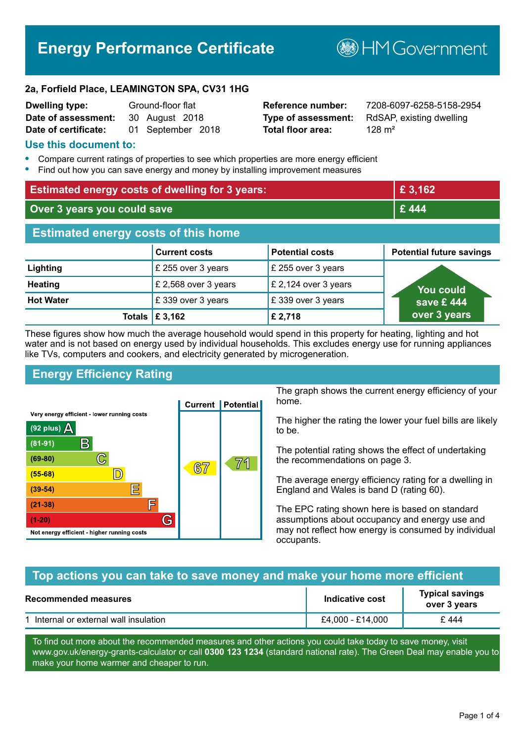# **Energy Performance Certificate**

**B**HM Government

#### **2a, Forfield Place, LEAMINGTON SPA, CV31 1HG**

| <b>Dwelling type:</b> | Ground-floor flat |
|-----------------------|-------------------|
| Date of assessment:   | 30 August 2018    |
| Date of certificate:  | 01 September 2018 |

**Total floor area:** 128 m<sup>2</sup>

**Dwelling type:** Ground-floor flat **Reference number:** 7208-6097-6258-5158-2954 **Type of assessment:** RdSAP, existing dwelling

#### **Use this document to:**

- **•** Compare current ratings of properties to see which properties are more energy efficient
- **•** Find out how you can save energy and money by installing improvement measures

| <b>Estimated energy costs of dwelling for 3 years:</b> |                           |                        | £ 3,162                         |
|--------------------------------------------------------|---------------------------|------------------------|---------------------------------|
| Over 3 years you could save                            |                           |                        | £444                            |
| <b>Estimated energy costs of this home</b>             |                           |                        |                                 |
|                                                        | <b>Current costs</b>      | <b>Potential costs</b> | <b>Potential future savings</b> |
| Lighting                                               | £ 255 over 3 years        | £ 255 over 3 years     |                                 |
| <b>Heating</b>                                         | £ 2,568 over 3 years      | £ 2,124 over 3 years   | You could                       |
| <b>Hot Water</b>                                       | £339 over 3 years         | £339 over 3 years      | save £444                       |
|                                                        | Totals $\mathsf{E}$ 3,162 | £2,718                 | over 3 years                    |

These figures show how much the average household would spend in this property for heating, lighting and hot water and is not based on energy used by individual households. This excludes energy use for running appliances like TVs, computers and cookers, and electricity generated by microgeneration.

## **Energy Efficiency Rating**



The graph shows the current energy efficiency of your home.

The higher the rating the lower your fuel bills are likely to be.

The potential rating shows the effect of undertaking the recommendations on page 3.

The average energy efficiency rating for a dwelling in England and Wales is band D (rating 60).

The EPC rating shown here is based on standard assumptions about occupancy and energy use and may not reflect how energy is consumed by individual occupants.

## **Top actions you can take to save money and make your home more efficient**

| <b>Recommended measures</b>          | Indicative cost  | <b>Typical savings</b><br>over 3 years |
|--------------------------------------|------------------|----------------------------------------|
| Internal or external wall insulation | £4,000 - £14,000 | £444                                   |

To find out more about the recommended measures and other actions you could take today to save money, visit www.gov.uk/energy-grants-calculator or call **0300 123 1234** (standard national rate). The Green Deal may enable you to make your home warmer and cheaper to run.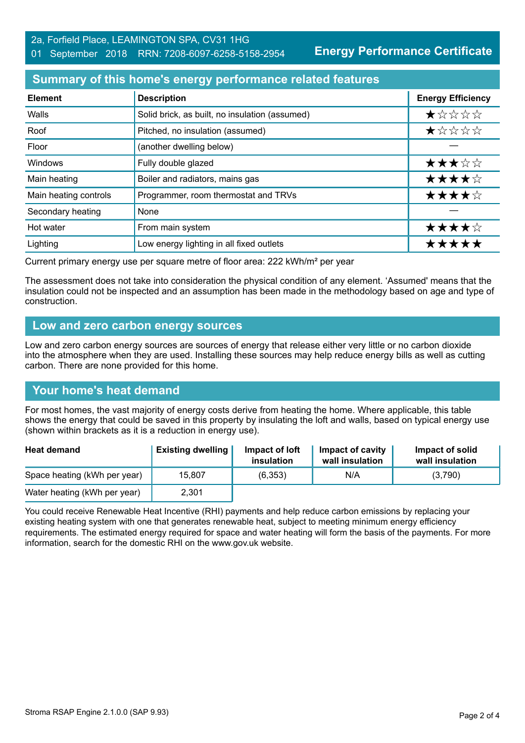#### 01 September 2018 RRN: 7208-6097-6258-5158-2954

**Energy Performance Certificate**

## **Summary of this home's energy performance related features**

| <b>Element</b>        | <b>Description</b>                             | <b>Energy Efficiency</b> |
|-----------------------|------------------------------------------------|--------------------------|
| Walls                 | Solid brick, as built, no insulation (assumed) | *****                    |
| Roof                  | Pitched, no insulation (assumed)               | *****                    |
| Floor                 | (another dwelling below)                       |                          |
| Windows               | Fully double glazed                            | ★★★☆☆                    |
| Main heating          | Boiler and radiators, mains gas                | ★★★★☆                    |
| Main heating controls | Programmer, room thermostat and TRVs           | ★★★★☆                    |
| Secondary heating     | None                                           |                          |
| Hot water             | From main system                               | ★★★★☆                    |
| Lighting              | Low energy lighting in all fixed outlets       | *****                    |

Current primary energy use per square metre of floor area: 222 kWh/m² per year

The assessment does not take into consideration the physical condition of any element. 'Assumed' means that the insulation could not be inspected and an assumption has been made in the methodology based on age and type of construction.

## **Low and zero carbon energy sources**

Low and zero carbon energy sources are sources of energy that release either very little or no carbon dioxide into the atmosphere when they are used. Installing these sources may help reduce energy bills as well as cutting carbon. There are none provided for this home.

## **Your home's heat demand**

For most homes, the vast majority of energy costs derive from heating the home. Where applicable, this table shows the energy that could be saved in this property by insulating the loft and walls, based on typical energy use (shown within brackets as it is a reduction in energy use).

| <b>Heat demand</b>           | <b>Existing dwelling</b> | Impact of loft<br>insulation | Impact of cavity<br>wall insulation | Impact of solid<br>wall insulation |
|------------------------------|--------------------------|------------------------------|-------------------------------------|------------------------------------|
| Space heating (kWh per year) | 15,807                   | (6,353)                      | N/A                                 | (3,790)                            |
| Water heating (kWh per year) | 2,301                    |                              |                                     |                                    |

You could receive Renewable Heat Incentive (RHI) payments and help reduce carbon emissions by replacing your existing heating system with one that generates renewable heat, subject to meeting minimum energy efficiency requirements. The estimated energy required for space and water heating will form the basis of the payments. For more information, search for the domestic RHI on the www.gov.uk website.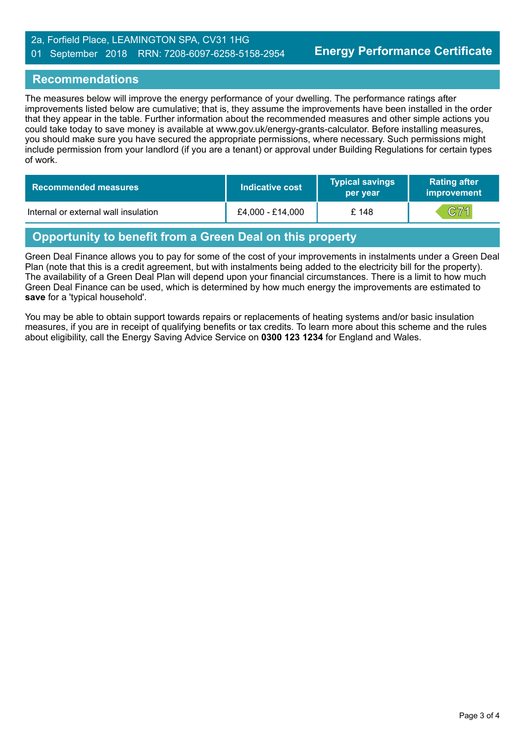#### 2a, Forfield Place, LEAMINGTON SPA, CV31 1HG 01 September 2018 RRN: 7208-6097-6258-5158-2954

## **Recommendations**

The measures below will improve the energy performance of your dwelling. The performance ratings after improvements listed below are cumulative; that is, they assume the improvements have been installed in the order that they appear in the table. Further information about the recommended measures and other simple actions you could take today to save money is available at www.gov.uk/energy-grants-calculator. Before installing measures, you should make sure you have secured the appropriate permissions, where necessary. Such permissions might include permission from your landlord (if you are a tenant) or approval under Building Regulations for certain types of work.

| Recommended measures                 | Indicative cost  | <b>Typical savings</b><br>per year | <b>Rating after</b><br><b>improvement</b> |
|--------------------------------------|------------------|------------------------------------|-------------------------------------------|
| Internal or external wall insulation | £4,000 - £14,000 | £ 148                              | $ {\bf C71} $                             |

# **Opportunity to benefit from a Green Deal on this property**

Green Deal Finance allows you to pay for some of the cost of your improvements in instalments under a Green Deal Plan (note that this is a credit agreement, but with instalments being added to the electricity bill for the property). The availability of a Green Deal Plan will depend upon your financial circumstances. There is a limit to how much Green Deal Finance can be used, which is determined by how much energy the improvements are estimated to **save** for a 'typical household'.

You may be able to obtain support towards repairs or replacements of heating systems and/or basic insulation measures, if you are in receipt of qualifying benefits or tax credits. To learn more about this scheme and the rules about eligibility, call the Energy Saving Advice Service on **0300 123 1234** for England and Wales.